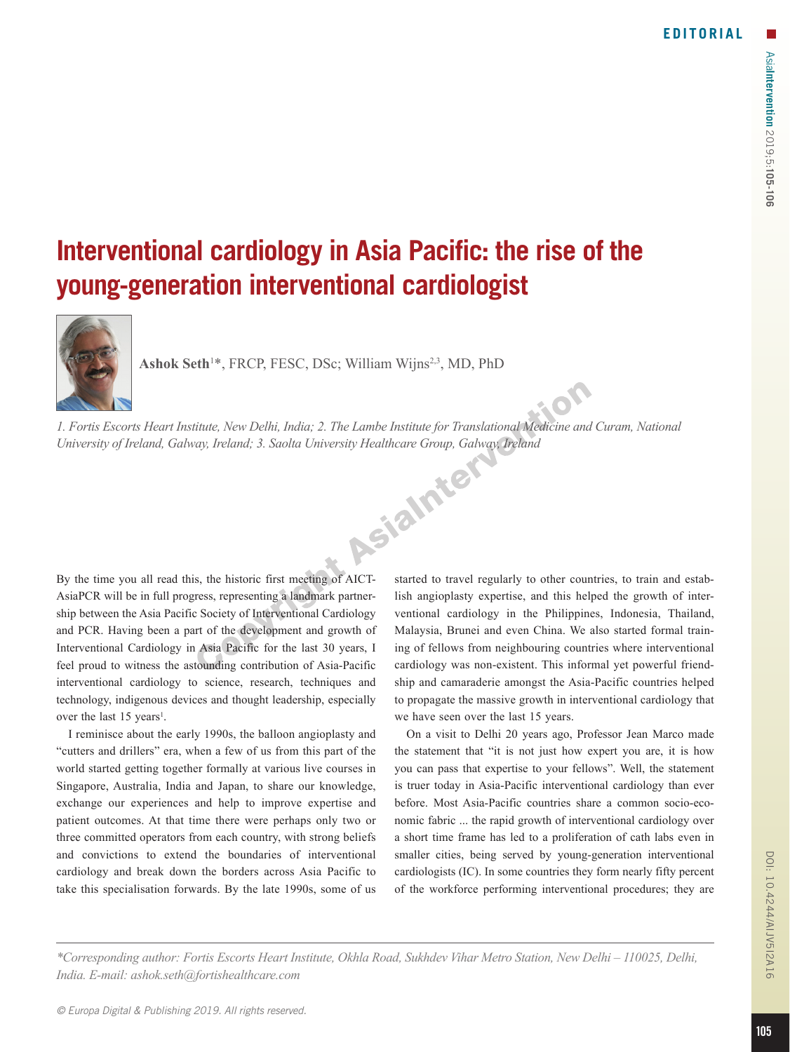## **Interventional cardiology in Asia Pacific: the rise of the young-generation interventional cardiologist**



Ashok Seth<sup>1\*</sup>, FRCP, FESC, DSc; William Wijns<sup>2,3</sup>, MD, PhD

*1. Fortis Escorts Heart Institute, New Delhi, India; 2. The Lambe Institute for Translational Medicine and Curam, National University of Ireland, Galway, Ireland; 3. Saolta University Healthcare Group, Galway, Ireland*

By the time you all read this, the historic first meeting of AICT-AsiaPCR will be in full progress, representing a landmark partnership between the Asia Pacific Society of Interventional Cardiology and PCR. Having been a part of the development and growth of Interventional Cardiology in Asia Pacific for the last 30 years, I feel proud to witness the astounding contribution of Asia-Pacific interventional cardiology to science, research, techniques and technology, indigenous devices and thought leadership, especially over the last  $15$  years<sup>1</sup>.

I reminisce about the early 1990s, the balloon angioplasty and "cutters and drillers" era, when a few of us from this part of the world started getting together formally at various live courses in Singapore, Australia, India and Japan, to share our knowledge, exchange our experiences and help to improve expertise and patient outcomes. At that time there were perhaps only two or three committed operators from each country, with strong beliefs and convictions to extend the boundaries of interventional cardiology and break down the borders across Asia Pacific to take this specialisation forwards. By the late 1990s, some of us

started to travel regularly to other countries, to train and establish angioplasty expertise, and this helped the growth of interventional cardiology in the Philippines, Indonesia, Thailand, Malaysia, Brunei and even China. We also started formal training of fellows from neighbouring countries where interventional cardiology was non-existent. This informal yet powerful friendship and camaraderie amongst the Asia-Pacific countries helped to propagate the massive growth in interventional cardiology that we have seen over the last 15 years.

On a visit to Delhi 20 years ago, Professor Jean Marco made the statement that "it is not just how expert you are, it is how you can pass that expertise to your fellows". Well, the statement is truer today in Asia-Pacific interventional cardiology than ever before. Most Asia-Pacific countries share a common socio-economic fabric ... the rapid growth of interventional cardiology over a short time frame has led to a proliferation of cath labs even in smaller cities, being served by young-generation interventional cardiologists (IC). In some countries they form nearly fifty percent of the workforce performing interventional procedures; they are

*\*Corresponding author: Fortis Escorts Heart Institute, Okhla Road, Sukhdev Vihar Metro Station, New Delhi – 110025, Delhi, India. E-mail: ashok.seth@fortishealthcare.com*